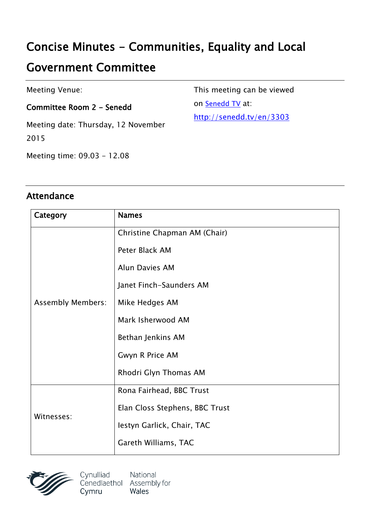# **Concise Minutes - Communities, Equality and Local**

## **Government Committee**

Meeting Venue:

**Committee Room 2 - Senedd**

Meeting date: Thursday, 12 November 2015

This meeting can be viewed on [Senedd](http://senedd.tv/) TV at:

[http://senedd.tv/en/3303](senedd.tv/Meeting/Index/faab2bcd-0931-4dd3-8fff-bc1a26065577)

Meeting time: 09.03 - 12.08

#### **Attendance**

| Category                 | <b>Names</b>                   |
|--------------------------|--------------------------------|
| <b>Assembly Members:</b> | Christine Chapman AM (Chair)   |
|                          | Peter Black AM                 |
|                          | <b>Alun Davies AM</b>          |
|                          | Janet Finch-Saunders AM        |
|                          | Mike Hedges AM                 |
|                          | Mark Isherwood AM              |
|                          | Bethan Jenkins AM              |
|                          | Gwyn R Price AM                |
|                          | Rhodri Glyn Thomas AM          |
| Witnesses:               | Rona Fairhead, BBC Trust       |
|                          | Elan Closs Stephens, BBC Trust |
|                          | Iestyn Garlick, Chair, TAC     |
|                          | Gareth Williams, TAC           |

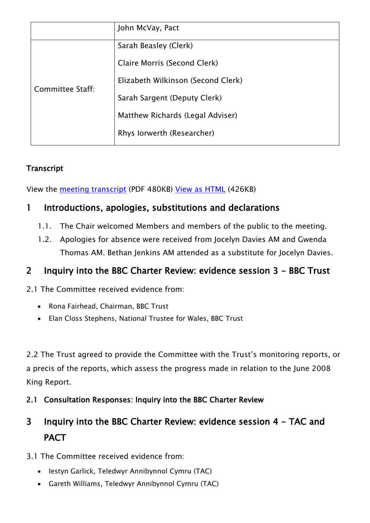|                  | John McVay, Pact                   |
|------------------|------------------------------------|
| Committee Staff: | Sarah Beasley (Clerk)              |
|                  | Claire Morris (Second Clerk)       |
|                  | Elizabeth Wilkinson (Second Clerk) |
|                  | Sarah Sargent (Deputy Clerk)       |
|                  | Matthew Richards (Legal Adviser)   |
|                  | Rhys Iorwerth (Researcher)         |
|                  |                                    |

#### **Transcript**

View the meeting [transcript](http://www.senedd.assembly.wales/documents/s46270/12%20November%202015.pdf) (PDF 480KB) View as [HTML](http://www.senedd.assembly.wales/documents/s46270/12%20November%202015.html?CT=2) (426KB)

### **1 Introductions, apologies, substitutions and declarations**

- 1.1. The Chair welcomed Members and members of the public to the meeting.
- 1.2. Apologies for absence were received from Jocelyn Davies AM and Gwenda Thomas AM. Bethan Jenkins AM attended as a substitute for Jocelyn Davies.

### **2 Inquiry into the BBC Charter Review: evidence session 3 - BBC Trust**

2.1 The Committee received evidence from:

- Rona Fairhead, Chairman, BBC Trust
- Elan Closs Stephens, National Trustee for Wales, BBC Trust

2.2 The Trust agreed to provide the Committee with the Trust's monitoring reports, or a precis of the reports, which assess the progress made in relation to the June 2008 King Report.

**2.1 Consultation Responses: Inquiry into the BBC Charter Review** 

## **3 Inquiry into the BBC Charter Review: evidence session 4 - TAC and PACT**

- 3.1 The Committee received evidence from:
	- Iestyn Garlick, Teledwyr Annibynnol Cymru (TAC)
	- Gareth Williams, Teledwyr Annibynnol Cymru (TAC)